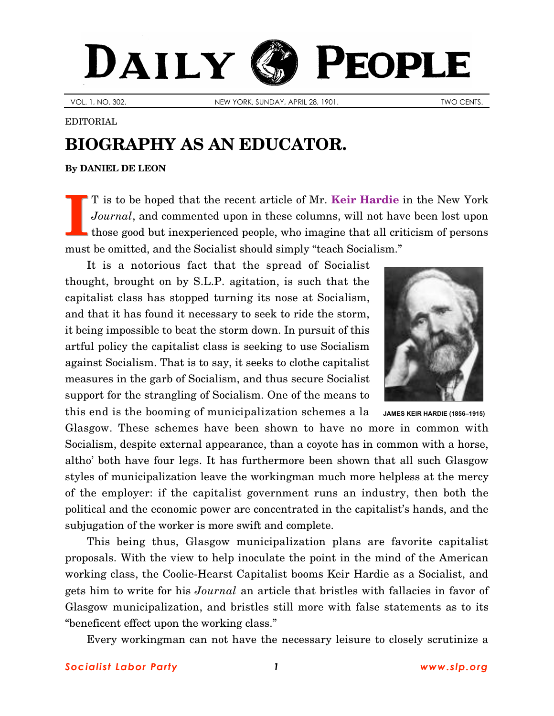## **(S) PEOPLE** DAILY

VOL. 1, NO. 302. NEW YORK, SUNDAY, APRIL 28, 1901. TWO CENTS.

## EDITORIAL

## **BIOGRAPHY AS AN EDUCATOR.**

**By [DANIEL DE LEON](http://www.slp.org/De_Leon.htm)**

T is to be hoped that the recent article of Mr. **[Keir Hardie](http://www.spartacus.schoolnet.co.uk/PRhardie.htm)** in the New York *Journal*, and commented upon in these columns, will not have been lost upon those good but inexperienced people, who imagine that all criticism of persons must be omitted, and the Socialist should simply "teach Socialism." **I**

It is a notorious fact that the spread of Socialist thought, brought on by S.L.P. agitation, is such that the capitalist class has stopped turning its nose at Socialism, and that it has found it necessary to seek to ride the storm, it being impossible to beat the storm down. In pursuit of this artful policy the capitalist class is seeking to use Socialism against Socialism. That is to say, it seeks to clothe capitalist measures in the garb of Socialism, and thus secure Socialist support for the strangling of Socialism. One of the means to this end is the booming of municipalization schemes a la **JAMES KEIR HARDIE** (1856–1915)



Glasgow. These schemes have been shown to have no more in common with Socialism, despite external appearance, than a coyote has in common with a horse, altho' both have four legs. It has furthermore been shown that all such Glasgow styles of municipalization leave the workingman much more helpless at the mercy of the employer: if the capitalist government runs an industry, then both the political and the economic power are concentrated in the capitalist's hands, and the subjugation of the worker is more swift and complete.

This being thus, Glasgow municipalization plans are favorite capitalist proposals. With the view to help inoculate the point in the mind of the American working class, the Coolie-Hearst Capitalist booms Keir Hardie as a Socialist, and gets him to write for his *Journal* an article that bristles with fallacies in favor of Glasgow municipalization, and bristles still more with false statements as to its "beneficent effect upon the working class."

Every workingman can not have the necessary leisure to closely scrutinize a